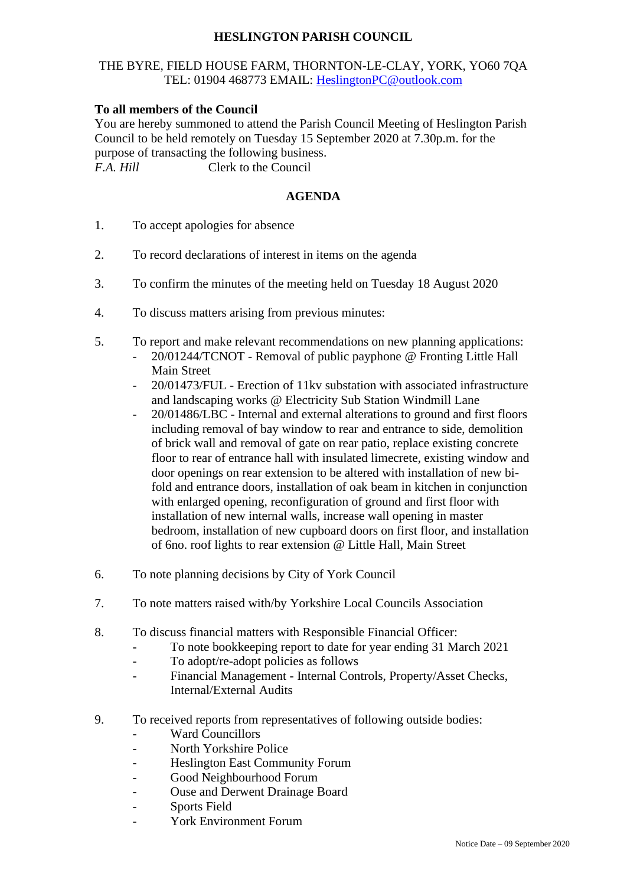## **HESLINGTON PARISH COUNCIL**

## THE BYRE, FIELD HOUSE FARM, THORNTON-LE-CLAY, YORK, YO60 7QA TEL: 01904 468773 EMAIL: [HeslingtonPC@outlook.com](mailto:HeslingtonPC@outlook.com)

## **To all members of the Council**

You are hereby summoned to attend the Parish Council Meeting of Heslington Parish Council to be held remotely on Tuesday 15 September 2020 at 7.30p.m. for the purpose of transacting the following business. *F.A. Hill* Clerk to the Council

## **AGENDA**

- 1. To accept apologies for absence
- 2. To record declarations of interest in items on the agenda
- 3. To confirm the minutes of the meeting held on Tuesday 18 August 2020
- 4. To discuss matters arising from previous minutes:
- 5. To report and make relevant recommendations on new planning applications:
	- 20/01244/TCNOT Removal of public payphone @ Fronting Little Hall Main Street
	- 20/01473/FUL Erection of 11kv substation with associated infrastructure and landscaping works @ Electricity Sub Station Windmill Lane
	- 20/01486/LBC Internal and external alterations to ground and first floors including removal of bay window to rear and entrance to side, demolition of brick wall and removal of gate on rear patio, replace existing concrete floor to rear of entrance hall with insulated limecrete, existing window and door openings on rear extension to be altered with installation of new bifold and entrance doors, installation of oak beam in kitchen in conjunction with enlarged opening, reconfiguration of ground and first floor with installation of new internal walls, increase wall opening in master bedroom, installation of new cupboard doors on first floor, and installation of 6no. roof lights to rear extension @ Little Hall, Main Street
- 6. To note planning decisions by City of York Council
- 7. To note matters raised with/by Yorkshire Local Councils Association
- 8. To discuss financial matters with Responsible Financial Officer:
	- To note bookkeeping report to date for year ending 31 March 2021
	- To adopt/re-adopt policies as follows
	- Financial Management Internal Controls, Property/Asset Checks, Internal/External Audits
- 9. To received reports from representatives of following outside bodies:
	- Ward Councillors
	- North Yorkshire Police
	- Heslington East Community Forum
	- Good Neighbourhood Forum
	- Ouse and Derwent Drainage Board
	- Sports Field
	- York Environment Forum